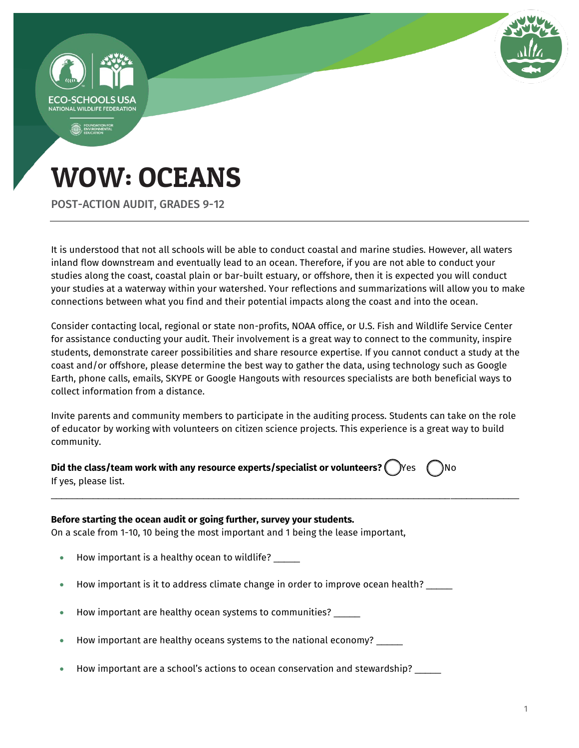

POST-ACTION AUDIT, GRADES 9-12

It is understood that not all schools will be able to conduct coastal and marine studies. However, all waters inland flow downstream and eventually lead to an ocean. Therefore, if you are not able to conduct your studies along the coast, coastal plain or bar-built estuary, or offshore, then it is expected you will conduct your studies at a waterway within your watershed. Your reflections and summarizations will allow you to make connections between what you find and their potential impacts along the coast and into the ocean.

Consider contacting local, regional or state non-profits, NOAA office, or U.S. Fish and Wildlife Service Center for assistance conducting your audit. Their involvement is a great way to connect to the community, inspire students, demonstrate career possibilities and share resource expertise. If you cannot conduct a study at the coast and/or offshore, please determine the best way to gather the data, using technology such as Google Earth, phone calls, emails, SKYPE or Google Hangouts with resources specialists are both beneficial ways to collect information from a distance.

Invite parents and community members to participate in the auditing process. Students can take on the role of educator by working with volunteers on citizen science projects. This experience is a great way to build community.

\_\_\_\_\_\_\_\_\_\_\_\_\_\_\_\_\_\_\_\_\_\_\_\_\_\_\_\_\_\_\_\_\_\_\_\_\_\_\_\_\_\_\_\_\_\_\_\_\_\_\_\_\_\_\_\_\_\_\_\_\_\_\_\_\_\_\_\_\_\_\_\_\_\_\_\_\_\_\_\_\_\_\_\_\_\_\_\_\_

**Did the class/team work with any resource experts/specialist or volunteers?** ( ) Yes  $\binom{ }{ }$  No If yes, please list.

#### **Before starting the ocean audit or going further, survey your students.**

On a scale from 1-10, 10 being the most important and 1 being the lease important,

- How important is a healthy ocean to wildlife?
- How important is it to address climate change in order to improve ocean health? \_\_\_\_\_
- How important are healthy ocean systems to communities? \_\_\_\_\_
- How important are healthy oceans systems to the national economy? \_\_\_\_\_
- $\bullet$  How important are a school's actions to ocean conservation and stewardship? \_\_\_\_\_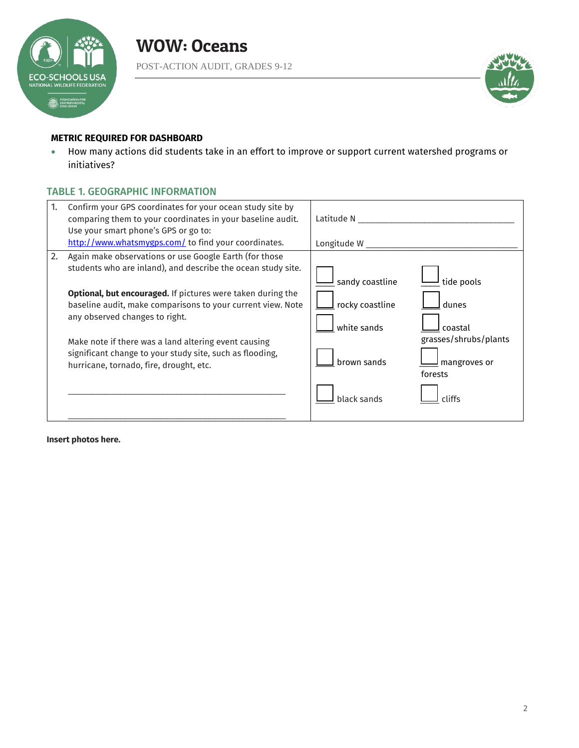



#### **METRIC REQUIRED FOR DASHBOARD**

 How many actions did students take in an effort to improve or support current watershed programs or initiatives?

#### TABLE 1. GEOGRAPHIC INFORMATION

| 1.<br>Confirm your GPS coordinates for your ocean study site by<br>comparing them to your coordinates in your baseline audit.<br>Use your smart phone's GPS or go to:<br>http://www.whatsmygps.com/ to find your coordinates.                                                                                                                                                                                                                                      | Latitude N<br>Longitude W                                                                                                                                                       |
|--------------------------------------------------------------------------------------------------------------------------------------------------------------------------------------------------------------------------------------------------------------------------------------------------------------------------------------------------------------------------------------------------------------------------------------------------------------------|---------------------------------------------------------------------------------------------------------------------------------------------------------------------------------|
| Again make observations or use Google Earth (for those<br>2.<br>students who are inland), and describe the ocean study site.<br><b>Optional, but encouraged.</b> If pictures were taken during the<br>baseline audit, make comparisons to your current view. Note<br>any observed changes to right.<br>Make note if there was a land altering event causing<br>significant change to your study site, such as flooding,<br>hurricane, tornado, fire, drought, etc. | sandy coastline<br>tide pools<br>rocky coastline<br>dunes<br>white sands<br>coastal<br>grasses/shrubs/plants<br>brown sands<br>mangroves or<br>forests<br>black sands<br>cliffs |

**Insert photos here.**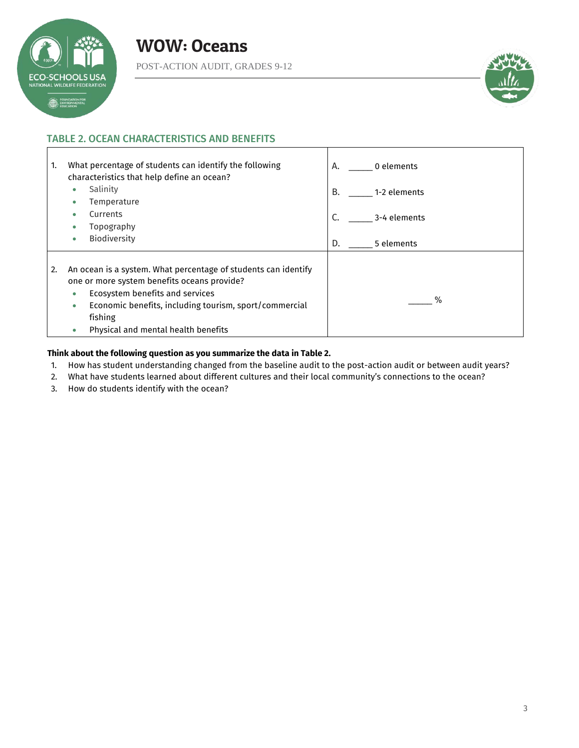

 $\mathbf{I}$ 



#### TABLE 2. OCEAN CHARACTERISTICS AND BENEFITS

| What percentage of students can identify the following<br>1.<br>characteristics that help define an ocean?                                                                                                                                                                                | 0 elements<br>А.   |
|-------------------------------------------------------------------------------------------------------------------------------------------------------------------------------------------------------------------------------------------------------------------------------------------|--------------------|
| Salinity<br>Temperature                                                                                                                                                                                                                                                                   | В.<br>1-2 elements |
| Currents<br>Topography                                                                                                                                                                                                                                                                    | C.<br>3-4 elements |
| <b>Biodiversity</b>                                                                                                                                                                                                                                                                       | D.<br>5 elements   |
| An ocean is a system. What percentage of students can identify<br>2.<br>one or more system benefits oceans provide?<br>Ecosystem benefits and services<br>$\bullet$<br>Economic benefits, including tourism, sport/commercial<br>۰<br>fishing<br>Physical and mental health benefits<br>۰ | %                  |

#### **Think about the following question as you summarize the data in Table 2.**

- 1. How has student understanding changed from the baseline audit to the post-action audit or between audit years?
- 2. What have students learned about different cultures and their local community's connections to the ocean?
- 3. How do students identify with the ocean?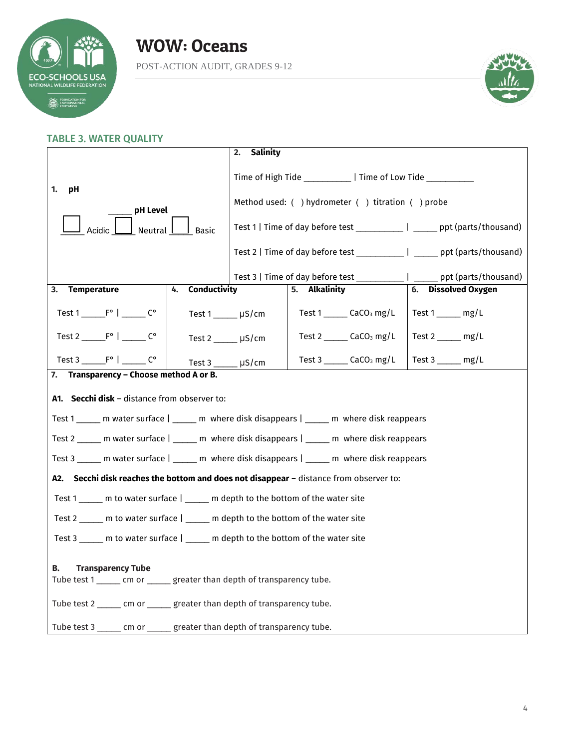

### WOW: Oceans POST-ACTION AUDIT, GRADES 9-12



### TABLE 3. WATER QUALITY

|                                                                                                                     | Salinity<br>2.         |                                                                                 |                        |  |
|---------------------------------------------------------------------------------------------------------------------|------------------------|---------------------------------------------------------------------------------|------------------------|--|
| 1.<br>pH                                                                                                            |                        | Time of High Tide _____________   Time of Low Tide ___________                  |                        |  |
| pH Level                                                                                                            |                        | Method used: () hydrometer () titration () probe                                |                        |  |
| Acidic<br>Neutral                                                                                                   | Basic                  | Test 1   Time of day before test ____________   ______ ppt (parts/thousand)     |                        |  |
|                                                                                                                     |                        | Test 2   Time of day before test _______________   _______ ppt (parts/thousand) |                        |  |
|                                                                                                                     |                        | Test 3   Time of day before test _____________   _______ ppt (parts/thousand)   |                        |  |
| Temperature<br>4.<br>3.                                                                                             | <b>Conductivity</b>    | 5. Alkalinity                                                                   | 6. Dissolved Oxygen    |  |
|                                                                                                                     | Test 1 µS/cm           | Test $1$ _______ CaCO <sub>3</sub> mg/L                                         | Test $1 \_\_\_$ mg/L   |  |
| Test $2 \underline{\qquad} F^{\circ} \underline{\qquad} C^{\circ}$                                                  | Test 2 µS/cm           | Test $2 \_\_\_\_\$ CaCO <sub>3</sub> mg/L                                       | Test 2 mg/L            |  |
| Test $3 \underline{\hspace{1cm}} F^{\circ} \underline{\hspace{1cm}} F^{\circ}$ $\underline{\hspace{1cm}} C^{\circ}$ | Test $3 \_\_\_\$ µS/cm | Test $3$ _______ CaCO <sub>3</sub> mg/L                                         | Test $3 \_\_\_\_$ mg/L |  |
| 7. Transparency - Choose method A or B.                                                                             |                        |                                                                                 |                        |  |
| A1. Secchi disk - distance from observer to:                                                                        |                        |                                                                                 |                        |  |
| Test 1 ______ m water surface   ______ m where disk disappears   ______ m where disk reappears                      |                        |                                                                                 |                        |  |
| Test 2 ______ m water surface   ______ m where disk disappears   ______ m where disk reappears                      |                        |                                                                                 |                        |  |
| Test 3 m water surface   m where disk disappears   m where disk reappears                                           |                        |                                                                                 |                        |  |
| A2. Secchi disk reaches the bottom and does not disappear - distance from observer to:                              |                        |                                                                                 |                        |  |
| Test 1 _____ m to water surface   _____ m depth to the bottom of the water site                                     |                        |                                                                                 |                        |  |
| Test 2 _____ m to water surface   _____ m depth to the bottom of the water site                                     |                        |                                                                                 |                        |  |
| Test 3 _____ m to water surface   _____ m depth to the bottom of the water site                                     |                        |                                                                                 |                        |  |
| В.<br><b>Transparency Tube</b>                                                                                      |                        |                                                                                 |                        |  |
| Tube test 1 ______ cm or ______ greater than depth of transparency tube.                                            |                        |                                                                                 |                        |  |
| Tube test 2 ______ cm or ______ greater than depth of transparency tube.                                            |                        |                                                                                 |                        |  |
| Tube test 3 ______ cm or ______ greater than depth of transparency tube.                                            |                        |                                                                                 |                        |  |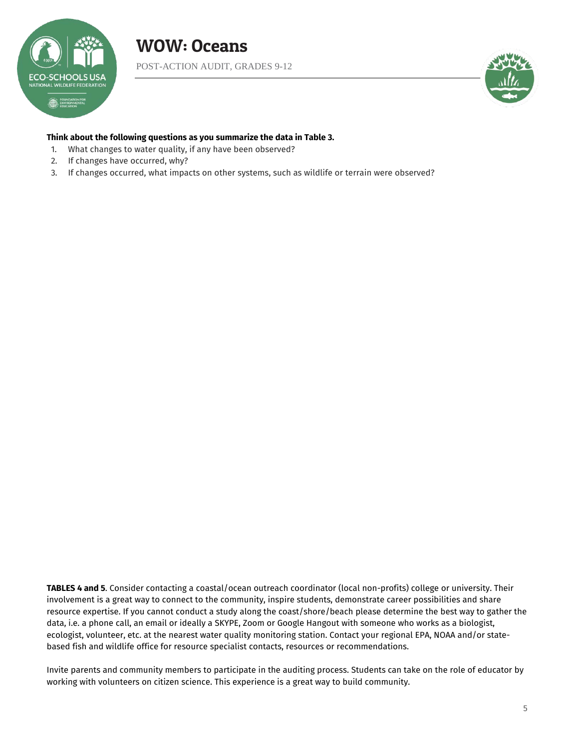

POST-ACTION AUDIT, GRADES 9-12



#### **Think about the following questions as you summarize the data in Table 3.**

- 1. What changes to water quality, if any have been observed?
- 2. If changes have occurred, why?
- 3. If changes occurred, what impacts on other systems, such as wildlife or terrain were observed?

**TABLES 4 and 5**. Consider contacting a coastal/ocean outreach coordinator (local non-profits) college or university. Their involvement is a great way to connect to the community, inspire students, demonstrate career possibilities and share resource expertise. If you cannot conduct a study along the coast/shore/beach please determine the best way to gather the data, i.e. a phone call, an email or ideally a SKYPE, Zoom or Google Hangout with someone who works as a biologist, ecologist, volunteer, etc. at the nearest water quality monitoring station. Contact your regional EPA, NOAA and/or statebased fish and wildlife office for resource specialist contacts, resources or recommendations.

Invite parents and community members to participate in the auditing process. Students can take on the role of educator by working with volunteers on citizen science. This experience is a great way to build community.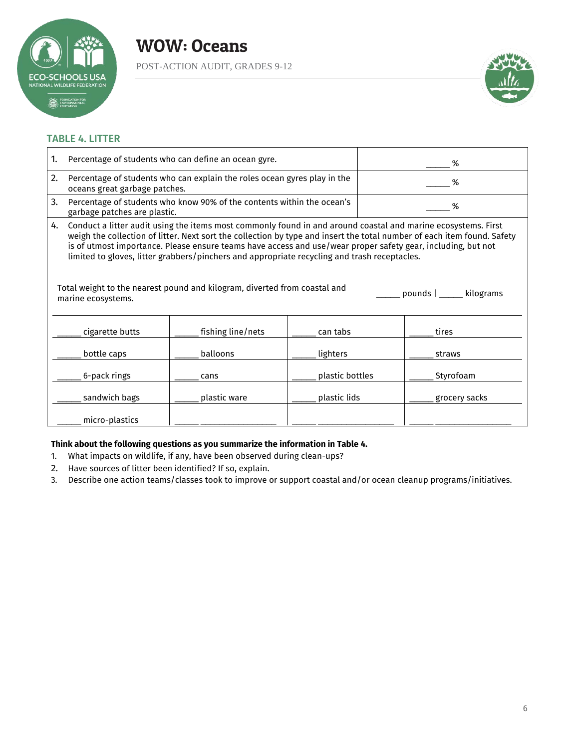

POST-ACTION AUDIT, GRADES 9-12



#### TABLE 4. LITTER

| 1. | Percentage of students who can define an ocean gyre.                                                                                                                                                                                                                                                                                                                                                                                                                                                                                                                                    |                   | %               |               |  |
|----|-----------------------------------------------------------------------------------------------------------------------------------------------------------------------------------------------------------------------------------------------------------------------------------------------------------------------------------------------------------------------------------------------------------------------------------------------------------------------------------------------------------------------------------------------------------------------------------------|-------------------|-----------------|---------------|--|
| 2. | Percentage of students who can explain the roles ocean gyres play in the<br>oceans great garbage patches.                                                                                                                                                                                                                                                                                                                                                                                                                                                                               |                   | %               |               |  |
| 3. | Percentage of students who know 90% of the contents within the ocean's<br>garbage patches are plastic.                                                                                                                                                                                                                                                                                                                                                                                                                                                                                  |                   | %               |               |  |
| 4. | Conduct a litter audit using the items most commonly found in and around coastal and marine ecosystems. First<br>weigh the collection of litter. Next sort the collection by type and insert the total number of each item found. Safety<br>is of utmost importance. Please ensure teams have access and use/wear proper safety gear, including, but not<br>limited to gloves, litter grabbers/pinchers and appropriate recycling and trash receptacles.<br>Total weight to the nearest pound and kilogram, diverted from coastal and<br>pounds   _____ kilograms<br>marine ecosystems. |                   |                 |               |  |
|    | cigarette butts                                                                                                                                                                                                                                                                                                                                                                                                                                                                                                                                                                         | fishing line/nets | can tabs        | tires         |  |
|    | bottle caps                                                                                                                                                                                                                                                                                                                                                                                                                                                                                                                                                                             | balloons          | lighters        | straws        |  |
|    | 6-pack rings                                                                                                                                                                                                                                                                                                                                                                                                                                                                                                                                                                            | cans              | plastic bottles | Styrofoam     |  |
|    | sandwich bags                                                                                                                                                                                                                                                                                                                                                                                                                                                                                                                                                                           | plastic ware      | plastic lids    | grocery sacks |  |
|    | micro-plastics                                                                                                                                                                                                                                                                                                                                                                                                                                                                                                                                                                          |                   |                 |               |  |

#### **Think about the following questions as you summarize the information in Table 4.**

- 1. What impacts on wildlife, if any, have been observed during clean-ups?
- 2. Have sources of litter been identified? If so, explain.
- 3. Describe one action teams/classes took to improve or support coastal and/or ocean cleanup programs/initiatives.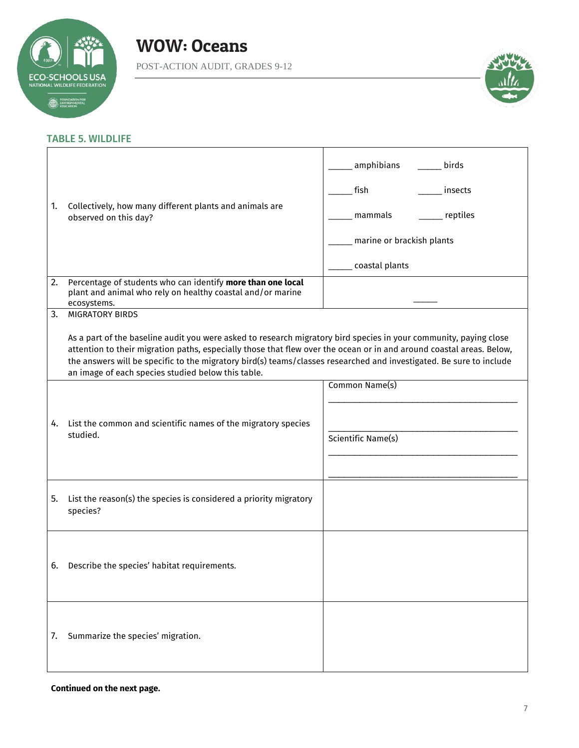

POST-ACTION AUDIT, GRADES 9-12



#### TABLE 5. WILDLIFE

|    | amphibians<br>birds                                                                                                                                                                                                                                                                                                                                                                                                    |                           |
|----|------------------------------------------------------------------------------------------------------------------------------------------------------------------------------------------------------------------------------------------------------------------------------------------------------------------------------------------------------------------------------------------------------------------------|---------------------------|
|    | Collectively, how many different plants and animals are<br>observed on this day?                                                                                                                                                                                                                                                                                                                                       | fish<br>insects           |
| 1. |                                                                                                                                                                                                                                                                                                                                                                                                                        | mammals<br>reptiles       |
|    |                                                                                                                                                                                                                                                                                                                                                                                                                        | marine or brackish plants |
|    |                                                                                                                                                                                                                                                                                                                                                                                                                        | coastal plants            |
| 2. | Percentage of students who can identify more than one local<br>plant and animal who rely on healthy coastal and/or marine<br>ecosystems.                                                                                                                                                                                                                                                                               |                           |
| 3. | <b>MIGRATORY BIRDS</b>                                                                                                                                                                                                                                                                                                                                                                                                 |                           |
|    | As a part of the baseline audit you were asked to research migratory bird species in your community, paying close<br>attention to their migration paths, especially those that flew over the ocean or in and around coastal areas. Below,<br>the answers will be specific to the migratory bird(s) teams/classes researched and investigated. Be sure to include<br>an image of each species studied below this table. |                           |
|    |                                                                                                                                                                                                                                                                                                                                                                                                                        | Common Name(s)            |
|    |                                                                                                                                                                                                                                                                                                                                                                                                                        |                           |
| 4. | List the common and scientific names of the migratory species<br>studied.                                                                                                                                                                                                                                                                                                                                              |                           |
|    |                                                                                                                                                                                                                                                                                                                                                                                                                        | Scientific Name(s)        |
|    |                                                                                                                                                                                                                                                                                                                                                                                                                        |                           |
| 5. | List the reason(s) the species is considered a priority migratory<br>species?                                                                                                                                                                                                                                                                                                                                          |                           |
|    |                                                                                                                                                                                                                                                                                                                                                                                                                        |                           |
| 6. | Describe the species' habitat requirements.                                                                                                                                                                                                                                                                                                                                                                            |                           |
|    |                                                                                                                                                                                                                                                                                                                                                                                                                        |                           |
| 7. | Summarize the species' migration.                                                                                                                                                                                                                                                                                                                                                                                      |                           |

#### **Continued on the next page.**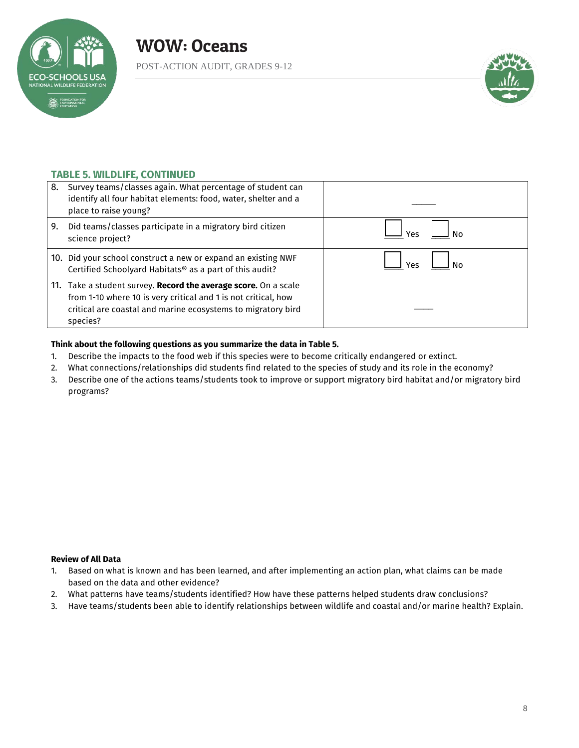

POST-ACTION AUDIT, GRADES 9-12



#### **TABLE 5. WILDLIFE, CONTINUED**

| 8. | Survey teams/classes again. What percentage of student can<br>identify all four habitat elements: food, water, shelter and a<br>place to raise young?                                                         |     |
|----|---------------------------------------------------------------------------------------------------------------------------------------------------------------------------------------------------------------|-----|
| 9. | Did teams/classes participate in a migratory bird citizen<br>science project?                                                                                                                                 | Υρς |
|    | 10. Did your school construct a new or expand an existing NWF<br>Certified Schoolyard Habitats® as a part of this audit?                                                                                      | Υρς |
|    | 11. Take a student survey. Record the average score. On a scale<br>from 1-10 where 10 is very critical and 1 is not critical, how<br>critical are coastal and marine ecosystems to migratory bird<br>species? |     |

#### **Think about the following questions as you summarize the data in Table 5.**

- 1. Describe the impacts to the food web if this species were to become critically endangered or extinct.
- 2. What connections/relationships did students find related to the species of study and its role in the economy?
- 3. Describe one of the actions teams/students took to improve or support migratory bird habitat and/or migratory bird programs?

#### **Review of All Data**

- 1. Based on what is known and has been learned, and after implementing an action plan, what claims can be made based on the data and other evidence?
- 2. What patterns have teams/students identified? How have these patterns helped students draw conclusions?
- 3. Have teams/students been able to identify relationships between wildlife and coastal and/or marine health? Explain.